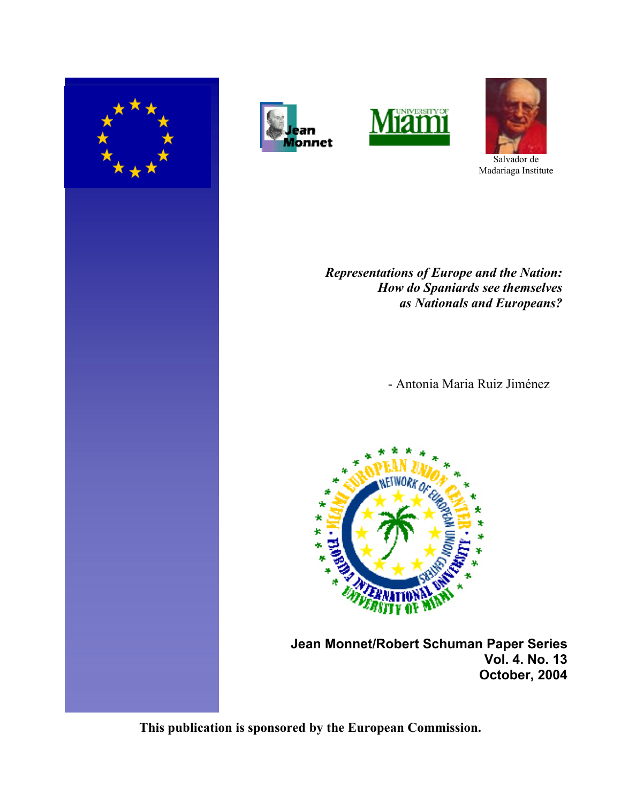







Salvador de Madariaga Institute

*Representations of Europe and the Nation: How do Spaniards see themselves as Nationals and Europeans?*

- Antonia Maria Ruiz Jiménez



 **Jean Monnet/Robert Schuman Paper Series Vol. 4. No. 13 October, 2004**

**This publication is sponsored by the European Commission.**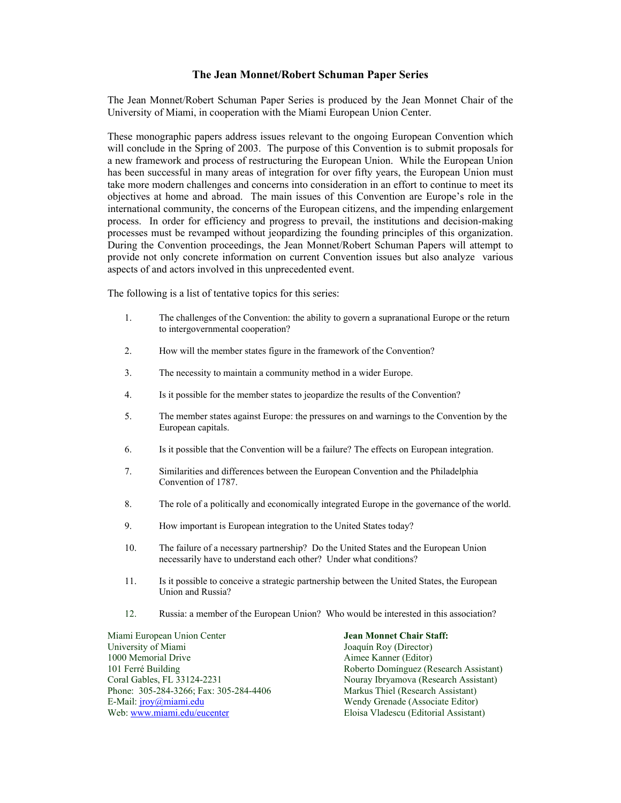### **The Jean Monnet/Robert Schuman Paper Series**

The Jean Monnet/Robert Schuman Paper Series is produced by the Jean Monnet Chair of the University of Miami, in cooperation with the Miami European Union Center.

These monographic papers address issues relevant to the ongoing European Convention which will conclude in the Spring of 2003. The purpose of this Convention is to submit proposals for a new framework and process of restructuring the European Union. While the European Union has been successful in many areas of integration for over fifty years, the European Union must take more modern challenges and concerns into consideration in an effort to continue to meet its objectives at home and abroad. The main issues of this Convention are Europe's role in the international community, the concerns of the European citizens, and the impending enlargement process. In order for efficiency and progress to prevail, the institutions and decision-making processes must be revamped without jeopardizing the founding principles of this organization. During the Convention proceedings, the Jean Monnet/Robert Schuman Papers will attempt to provide not only concrete information on current Convention issues but also analyze various aspects of and actors involved in this unprecedented event.

The following is a list of tentative topics for this series:

- 1. The challenges of the Convention: the ability to govern a supranational Europe or the return to intergovernmental cooperation?
- 2. How will the member states figure in the framework of the Convention?
- 3. The necessity to maintain a community method in a wider Europe.
- 4. Is it possible for the member states to jeopardize the results of the Convention?
- 5. The member states against Europe: the pressures on and warnings to the Convention by the European capitals.
- 6. Is it possible that the Convention will be a failure? The effects on European integration.
- 7. Similarities and differences between the European Convention and the Philadelphia Convention of 1787.
- 8. The role of a politically and economically integrated Europe in the governance of the world.
- 9. How important is European integration to the United States today?
- 10. The failure of a necessary partnership? Do the United States and the European Union necessarily have to understand each other? Under what conditions?
- 11. Is it possible to conceive a strategic partnership between the United States, the European Union and Russia?
- 12. Russia: a member of the European Union? Who would be interested in this association?

Miami European Union Center **Jean Monnet Chair Staff:**  University of Miami Joaquín Roy (Director)<br>
1000 Memorial Drive (Editor)<br>
Aimee Kanner (Editor) 101 Ferré Building<br>
101 Ferré Building (Research Assistant)<br>
101 Ferré Building (Research Assistant)<br>
2011 Nouray Ibryamova (Research Assistant) Phone: 305-284-3266; Fax: 305-284-4406 Markus Thiel (Research Assistant)<br>
E-Mail: jroy@miami.edu Wendy Grenade (Associate Editor) Web: www.miami.edu/eucenter Eloisa Vladescu (Editorial Assistant)

Aimee Kanner (Editor) Nouray Ibryamova (Research Assistant) Wendy Grenade (Associate Editor)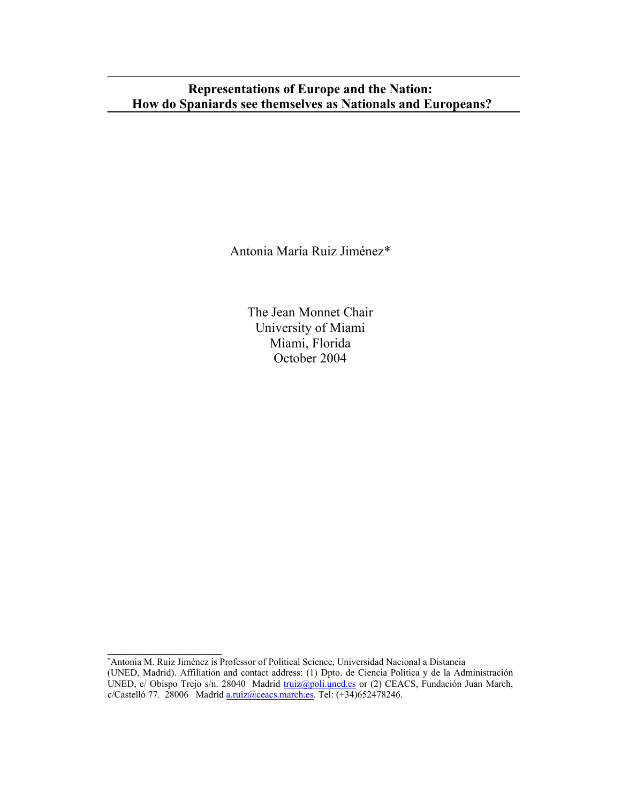# **Representations of Europe and the Nation: How do Spaniards see themselves as Nationals and Europeans?**

Antonia María Ruiz Jiménez\*

The Jean Monnet Chair University of Miami Miami, Florida October 2004

**<sup>\*</sup>**<br>★ Antonia M. Ruiz Jiménez is Professor of Political Science, Universidad Nacional a Distancia (UNED, Madrid). Affiliation and contact address: (1) Dpto. de Ciencia Política y de la Administración UNED, c/ Obispo Trejo s/n. 28040 Madrid truiz@poli.uned.es or (2) CEACS, Fundación Juan March,  $c/Castelló 77. 28006$  Madrid  $a.ruiz@ceacs.march.es. Tel: (+34)652478246.$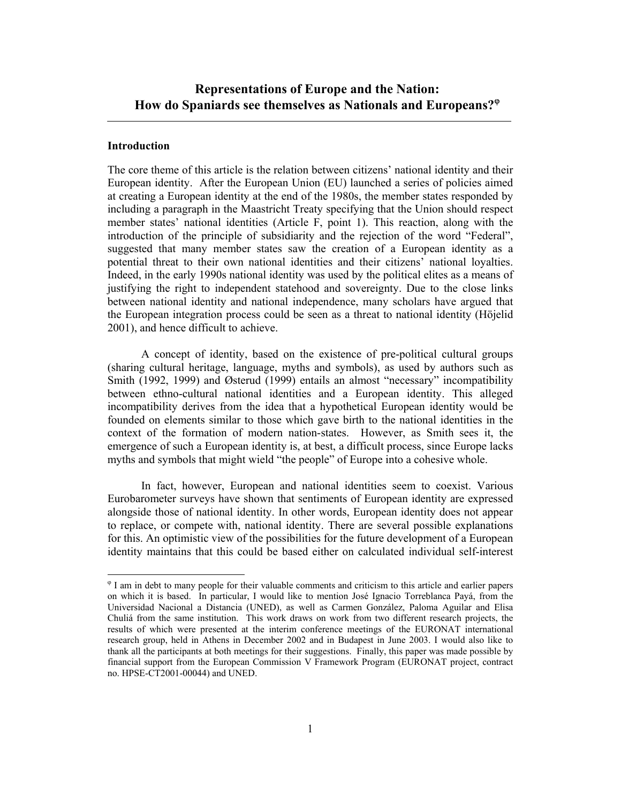## **Introduction**

 $\overline{a}$ 

The core theme of this article is the relation between citizens' national identity and their European identity. After the European Union (EU) launched a series of policies aimed at creating a European identity at the end of the 1980s, the member states responded by including a paragraph in the Maastricht Treaty specifying that the Union should respect member states' national identities (Article F, point 1). This reaction, along with the introduction of the principle of subsidiarity and the rejection of the word "Federal", suggested that many member states saw the creation of a European identity as a potential threat to their own national identities and their citizens' national loyalties. Indeed, in the early 1990s national identity was used by the political elites as a means of justifying the right to independent statehood and sovereignty. Due to the close links between national identity and national independence, many scholars have argued that the European integration process could be seen as a threat to national identity (Höjelid 2001), and hence difficult to achieve.

 A concept of identity, based on the existence of pre-political cultural groups (sharing cultural heritage, language, myths and symbols), as used by authors such as Smith (1992, 1999) and Østerud (1999) entails an almost "necessary" incompatibility between ethno-cultural national identities and a European identity. This alleged incompatibility derives from the idea that a hypothetical European identity would be founded on elements similar to those which gave birth to the national identities in the context of the formation of modern nation-states. However, as Smith sees it, the emergence of such a European identity is, at best, a difficult process, since Europe lacks myths and symbols that might wield "the people" of Europe into a cohesive whole.

 In fact, however, European and national identities seem to coexist. Various Eurobarometer surveys have shown that sentiments of European identity are expressed alongside those of national identity. In other words, European identity does not appear to replace, or compete with, national identity. There are several possible explanations for this. An optimistic view of the possibilities for the future development of a European identity maintains that this could be based either on calculated individual self-interest

ϕ I am in debt to many people for their valuable comments and criticism to this article and earlier papers on which it is based. In particular, I would like to mention José Ignacio Torreblanca Payá, from the Universidad Nacional a Distancia (UNED), as well as Carmen González, Paloma Aguilar and Elisa Chuliá from the same institution. This work draws on work from two different research projects, the results of which were presented at the interim conference meetings of the EURONAT international research group, held in Athens in December 2002 and in Budapest in June 2003. I would also like to thank all the participants at both meetings for their suggestions. Finally, this paper was made possible by financial support from the European Commission V Framework Program (EURONAT project, contract no. HPSE-CT2001-00044) and UNED.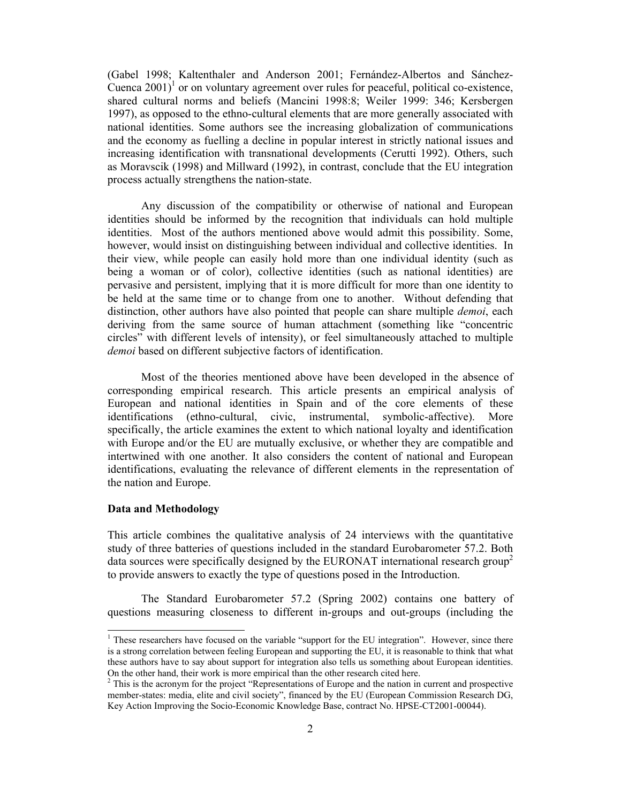(Gabel 1998; Kaltenthaler and Anderson 2001; Fernández-Albertos and Sánchez-Cuenca  $2001$ <sup>1</sup> or on voluntary agreement over rules for peaceful, political co-existence, shared cultural norms and beliefs (Mancini 1998:8; Weiler 1999: 346; Kersbergen 1997), as opposed to the ethno-cultural elements that are more generally associated with national identities. Some authors see the increasing globalization of communications and the economy as fuelling a decline in popular interest in strictly national issues and increasing identification with transnational developments (Cerutti 1992). Others, such as Moravscik (1998) and Millward (1992), in contrast, conclude that the EU integration process actually strengthens the nation-state.

 Any discussion of the compatibility or otherwise of national and European identities should be informed by the recognition that individuals can hold multiple identities. Most of the authors mentioned above would admit this possibility. Some, however, would insist on distinguishing between individual and collective identities. In their view, while people can easily hold more than one individual identity (such as being a woman or of color), collective identities (such as national identities) are pervasive and persistent, implying that it is more difficult for more than one identity to be held at the same time or to change from one to another. Without defending that distinction, other authors have also pointed that people can share multiple *demoi*, each deriving from the same source of human attachment (something like "concentric circles" with different levels of intensity), or feel simultaneously attached to multiple *demoi* based on different subjective factors of identification.

 Most of the theories mentioned above have been developed in the absence of corresponding empirical research. This article presents an empirical analysis of European and national identities in Spain and of the core elements of these identifications (ethno-cultural, civic, instrumental, symbolic-affective). More specifically, the article examines the extent to which national loyalty and identification with Europe and/or the EU are mutually exclusive, or whether they are compatible and intertwined with one another. It also considers the content of national and European identifications, evaluating the relevance of different elements in the representation of the nation and Europe.

### **Data and Methodology**

 $\overline{a}$ 

This article combines the qualitative analysis of 24 interviews with the quantitative study of three batteries of questions included in the standard Eurobarometer 57.2. Both data sources were specifically designed by the EURONAT international research group<sup>2</sup> to provide answers to exactly the type of questions posed in the Introduction.

 The Standard Eurobarometer 57.2 (Spring 2002) contains one battery of questions measuring closeness to different in-groups and out-groups (including the

<sup>&</sup>lt;sup>1</sup> These researchers have focused on the variable "support for the EU integration". However, since there is a strong correlation between feeling European and supporting the EU, it is reasonable to think that what these authors have to say about support for integration also tells us something about European identities. On the other hand, their work is more empirical than the other research cited here.

 $2$  This is the acronym for the project "Representations of Europe and the nation in current and prospective member-states: media, elite and civil society", financed by the EU (European Commission Research DG, Key Action Improving the Socio-Economic Knowledge Base, contract No. HPSE-CT2001-00044).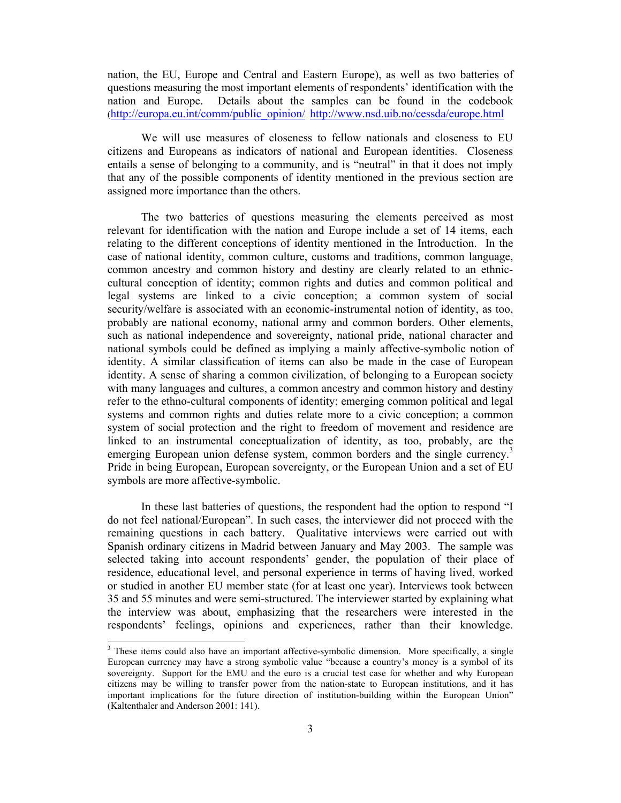nation, the EU, Europe and Central and Eastern Europe), as well as two batteries of questions measuring the most important elements of respondents' identification with the nation and Europe. Details about the samples can be found in the codebook (http://europa.eu.int/comm/public\_opinion/ http://www.nsd.uib.no/cessda/europe.html

We will use measures of closeness to fellow nationals and closeness to EU citizens and Europeans as indicators of national and European identities. Closeness entails a sense of belonging to a community, and is "neutral" in that it does not imply that any of the possible components of identity mentioned in the previous section are assigned more importance than the others.

 The two batteries of questions measuring the elements perceived as most relevant for identification with the nation and Europe include a set of 14 items, each relating to the different conceptions of identity mentioned in the Introduction. In the case of national identity, common culture, customs and traditions, common language, common ancestry and common history and destiny are clearly related to an ethniccultural conception of identity; common rights and duties and common political and legal systems are linked to a civic conception; a common system of social security/welfare is associated with an economic-instrumental notion of identity, as too, probably are national economy, national army and common borders. Other elements, such as national independence and sovereignty, national pride, national character and national symbols could be defined as implying a mainly affective-symbolic notion of identity. A similar classification of items can also be made in the case of European identity. A sense of sharing a common civilization, of belonging to a European society with many languages and cultures, a common ancestry and common history and destiny refer to the ethno-cultural components of identity; emerging common political and legal systems and common rights and duties relate more to a civic conception; a common system of social protection and the right to freedom of movement and residence are linked to an instrumental conceptualization of identity, as too, probably, are the emerging European union defense system, common borders and the single currency.<sup>3</sup> Pride in being European, European sovereignty, or the European Union and a set of EU symbols are more affective-symbolic.

 In these last batteries of questions, the respondent had the option to respond "I do not feel national/European". In such cases, the interviewer did not proceed with the remaining questions in each battery. Qualitative interviews were carried out with Spanish ordinary citizens in Madrid between January and May 2003. The sample was selected taking into account respondents' gender, the population of their place of residence, educational level, and personal experience in terms of having lived, worked or studied in another EU member state (for at least one year). Interviews took between 35 and 55 minutes and were semi-structured. The interviewer started by explaining what the interview was about, emphasizing that the researchers were interested in the respondents' feelings, opinions and experiences, rather than their knowledge.

 $\overline{a}$ 

 $3$  These items could also have an important affective-symbolic dimension. More specifically, a single European currency may have a strong symbolic value "because a country's money is a symbol of its sovereignty. Support for the EMU and the euro is a crucial test case for whether and why European citizens may be willing to transfer power from the nation-state to European institutions, and it has important implications for the future direction of institution-building within the European Union" (Kaltenthaler and Anderson 2001: 141).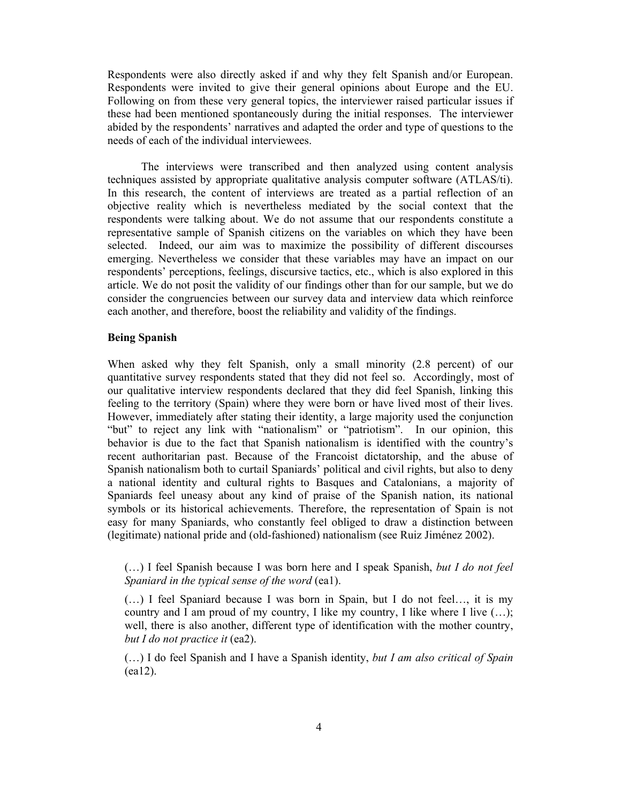Respondents were also directly asked if and why they felt Spanish and/or European. Respondents were invited to give their general opinions about Europe and the EU. Following on from these very general topics, the interviewer raised particular issues if these had been mentioned spontaneously during the initial responses. The interviewer abided by the respondents' narratives and adapted the order and type of questions to the needs of each of the individual interviewees.

 The interviews were transcribed and then analyzed using content analysis techniques assisted by appropriate qualitative analysis computer software (ATLAS/ti). In this research, the content of interviews are treated as a partial reflection of an objective reality which is nevertheless mediated by the social context that the respondents were talking about. We do not assume that our respondents constitute a representative sample of Spanish citizens on the variables on which they have been selected. Indeed, our aim was to maximize the possibility of different discourses emerging. Nevertheless we consider that these variables may have an impact on our respondents' perceptions, feelings, discursive tactics, etc., which is also explored in this article. We do not posit the validity of our findings other than for our sample, but we do consider the congruencies between our survey data and interview data which reinforce each another, and therefore, boost the reliability and validity of the findings.

### **Being Spanish**

When asked why they felt Spanish, only a small minority (2.8 percent) of our quantitative survey respondents stated that they did not feel so. Accordingly, most of our qualitative interview respondents declared that they did feel Spanish, linking this feeling to the territory (Spain) where they were born or have lived most of their lives. However, immediately after stating their identity, a large majority used the conjunction "but" to reject any link with "nationalism" or "patriotism". In our opinion, this behavior is due to the fact that Spanish nationalism is identified with the country's recent authoritarian past. Because of the Francoist dictatorship, and the abuse of Spanish nationalism both to curtail Spaniards' political and civil rights, but also to deny a national identity and cultural rights to Basques and Catalonians, a majority of Spaniards feel uneasy about any kind of praise of the Spanish nation, its national symbols or its historical achievements. Therefore, the representation of Spain is not easy for many Spaniards, who constantly feel obliged to draw a distinction between (legitimate) national pride and (old-fashioned) nationalism (see Ruiz Jiménez 2002).

# (…) I feel Spanish because I was born here and I speak Spanish, *but I do not feel Spaniard in the typical sense of the word* (ea1).

(…) I feel Spaniard because I was born in Spain, but I do not feel…, it is my country and I am proud of my country, I like my country, I like where I live  $(...);$ well, there is also another, different type of identification with the mother country, *but I do not practice it* (ea2).

(…) I do feel Spanish and I have a Spanish identity, *but I am also critical of Spain* (ea12).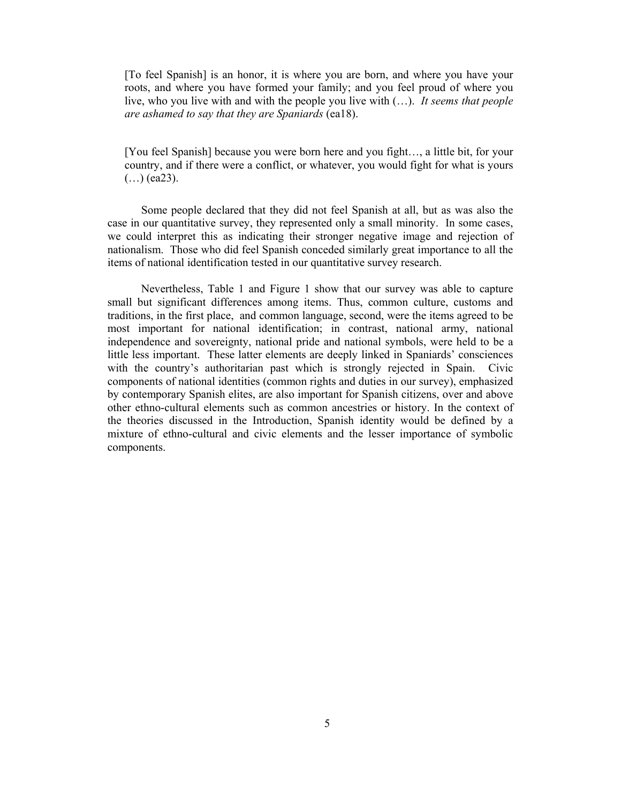[To feel Spanish] is an honor, it is where you are born, and where you have your roots, and where you have formed your family; and you feel proud of where you live, who you live with and with the people you live with (…). *It seems that people are ashamed to say that they are Spaniards* (ea18).

[You feel Spanish] because you were born here and you fight…, a little bit, for your country, and if there were a conflict, or whatever, you would fight for what is yours  $(...)$  (ea23).

Some people declared that they did not feel Spanish at all, but as was also the case in our quantitative survey, they represented only a small minority. In some cases, we could interpret this as indicating their stronger negative image and rejection of nationalism. Those who did feel Spanish conceded similarly great importance to all the items of national identification tested in our quantitative survey research.

Nevertheless, Table 1 and Figure 1 show that our survey was able to capture small but significant differences among items. Thus, common culture, customs and traditions, in the first place, and common language, second, were the items agreed to be most important for national identification; in contrast, national army, national independence and sovereignty, national pride and national symbols, were held to be a little less important. These latter elements are deeply linked in Spaniards' consciences with the country's authoritarian past which is strongly rejected in Spain. Civic components of national identities (common rights and duties in our survey), emphasized by contemporary Spanish elites, are also important for Spanish citizens, over and above other ethno-cultural elements such as common ancestries or history. In the context of the theories discussed in the Introduction, Spanish identity would be defined by a mixture of ethno-cultural and civic elements and the lesser importance of symbolic components.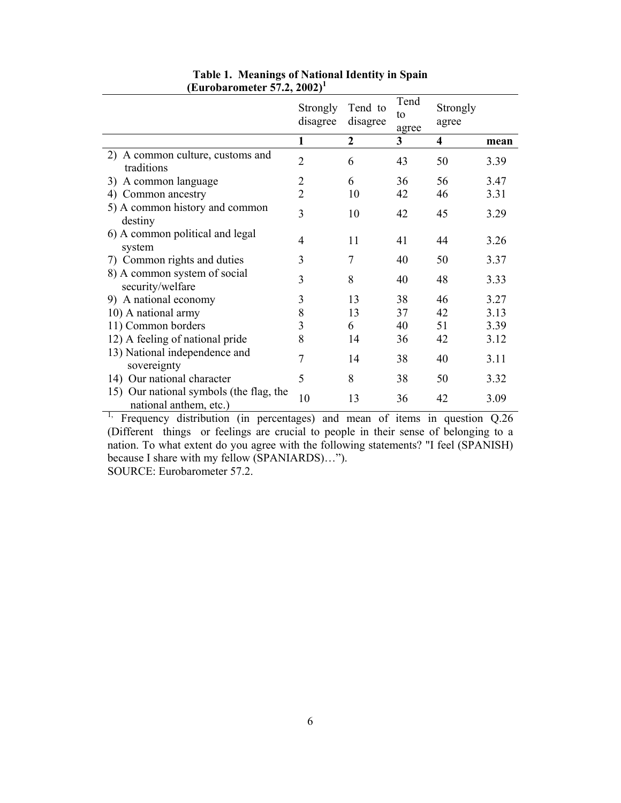|                                                                   | Strongly<br>disagree | Tend to<br>disagree | Tend<br>to<br>agree | Strongly<br>agree       |      |
|-------------------------------------------------------------------|----------------------|---------------------|---------------------|-------------------------|------|
|                                                                   | 1                    | $\overline{2}$      | 3                   | $\overline{\mathbf{4}}$ | mean |
| 2) A common culture, customs and<br>traditions                    | $\overline{2}$       | 6                   | 43                  | 50                      | 3.39 |
| A common language<br>3)                                           | $\overline{2}$       | 6                   | 36                  | 56                      | 3.47 |
| 4) Common ancestry                                                | $\overline{2}$       | 10                  | 42                  | 46                      | 3.31 |
| 5) A common history and common<br>destiny                         | $\overline{3}$       | 10                  | 42                  | 45                      | 3.29 |
| 6) A common political and legal<br>system                         | 4                    | 11                  | 41                  | 44                      | 3.26 |
| 7) Common rights and duties                                       | 3                    | 7                   | 40                  | 50                      | 3.37 |
| 8) A common system of social<br>security/welfare                  | 3                    | 8                   | 40                  | 48                      | 3.33 |
| 9) A national economy                                             | 3                    | 13                  | 38                  | 46                      | 3.27 |
| 10) A national army                                               | 8                    | 13                  | 37                  | 42                      | 3.13 |
| 11) Common borders                                                | 3                    | 6                   | 40                  | 51                      | 3.39 |
| 12) A feeling of national pride                                   | 8                    | 14                  | 36                  | 42                      | 3.12 |
| 13) National independence and<br>sovereignty                      | 7                    | 14                  | 38                  | 40                      | 3.11 |
| 14) Our national character                                        | 5                    | 8                   | 38                  | 50                      | 3.32 |
| 15) Our national symbols (the flag, the<br>national anthem, etc.) | 10                   | 13                  | 36                  | 42                      | 3.09 |

# **Table 1. Meanings of National Identity in Spain (Eurobarometer 57.2, 2002)1**

<sup>1,</sup> Frequency distribution (in percentages) and mean of items in question  $Q.26$ (Different things or feelings are crucial to people in their sense of belonging to a nation. To what extent do you agree with the following statements? "I feel (SPANISH) because I share with my fellow (SPANIARDS)…").

SOURCE: Eurobarometer 57.2.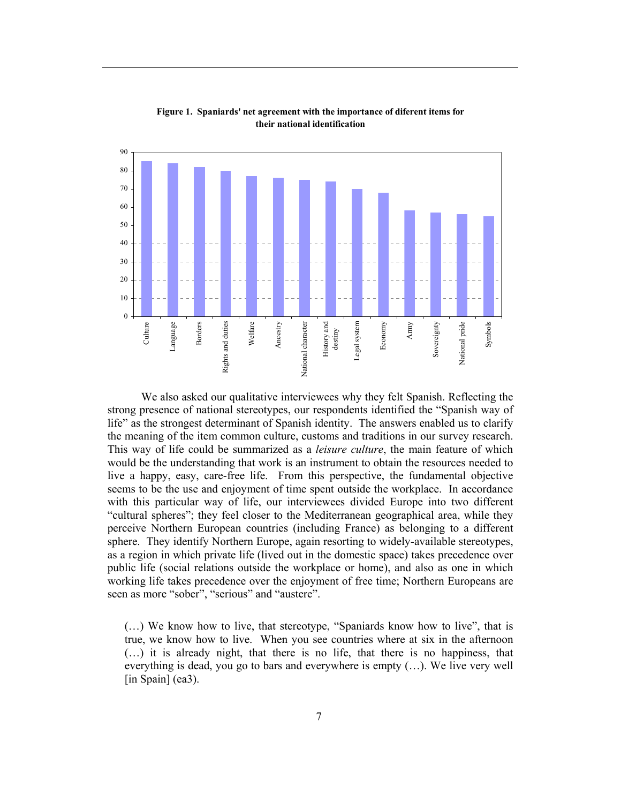

**Figure 1. Spaniards' net agreement with the importance of diferent items for their national identification**

 We also asked our qualitative interviewees why they felt Spanish. Reflecting the strong presence of national stereotypes, our respondents identified the "Spanish way of life" as the strongest determinant of Spanish identity. The answers enabled us to clarify the meaning of the item common culture, customs and traditions in our survey research. This way of life could be summarized as a *leisure culture*, the main feature of which would be the understanding that work is an instrument to obtain the resources needed to live a happy, easy, care-free life. From this perspective, the fundamental objective seems to be the use and enjoyment of time spent outside the workplace. In accordance with this particular way of life, our interviewees divided Europe into two different "cultural spheres"; they feel closer to the Mediterranean geographical area, while they perceive Northern European countries (including France) as belonging to a different sphere. They identify Northern Europe, again resorting to widely-available stereotypes, as a region in which private life (lived out in the domestic space) takes precedence over public life (social relations outside the workplace or home), and also as one in which working life takes precedence over the enjoyment of free time; Northern Europeans are seen as more "sober", "serious" and "austere".

(…) We know how to live, that stereotype, "Spaniards know how to live", that is true, we know how to live. When you see countries where at six in the afternoon (…) it is already night, that there is no life, that there is no happiness, that everything is dead, you go to bars and everywhere is empty (…). We live very well [in Spain] (ea3).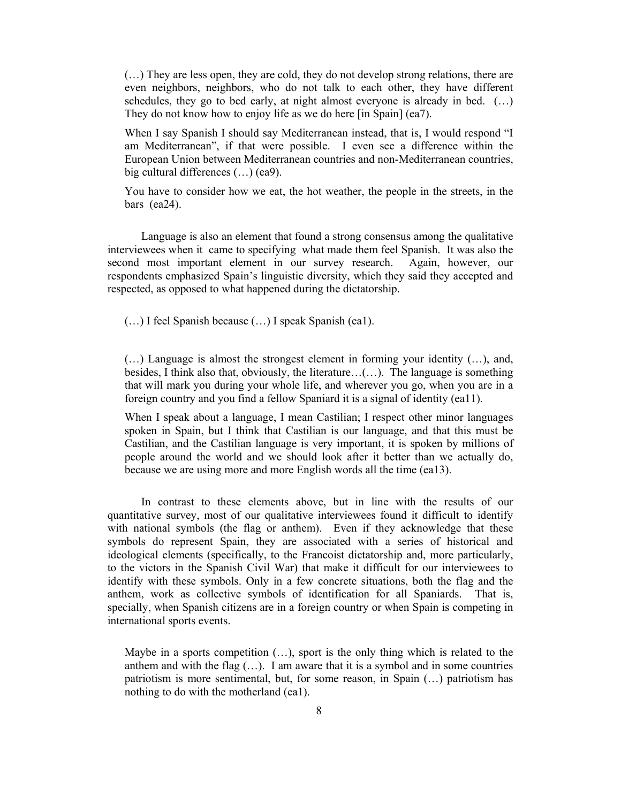(…) They are less open, they are cold, they do not develop strong relations, there are even neighbors, neighbors, who do not talk to each other, they have different schedules, they go to bed early, at night almost everyone is already in bed. (…) They do not know how to enjoy life as we do here [in Spain] (ea7).

When I say Spanish I should say Mediterranean instead, that is, I would respond "I am Mediterranean", if that were possible. I even see a difference within the European Union between Mediterranean countries and non-Mediterranean countries, big cultural differences (…) (ea9).

You have to consider how we eat, the hot weather, the people in the streets, in the bars (ea24).

 Language is also an element that found a strong consensus among the qualitative interviewees when it came to specifying what made them feel Spanish. It was also the second most important element in our survey research. Again, however, our respondents emphasized Spain's linguistic diversity, which they said they accepted and respected, as opposed to what happened during the dictatorship.

(…) I feel Spanish because (…) I speak Spanish (ea1).

(…) Language is almost the strongest element in forming your identity (…), and, besides, I think also that, obviously, the literature…(…). The language is something that will mark you during your whole life, and wherever you go, when you are in a foreign country and you find a fellow Spaniard it is a signal of identity (ea11).

When I speak about a language, I mean Castilian; I respect other minor languages spoken in Spain, but I think that Castilian is our language, and that this must be Castilian, and the Castilian language is very important, it is spoken by millions of people around the world and we should look after it better than we actually do, because we are using more and more English words all the time (ea13).

 In contrast to these elements above, but in line with the results of our quantitative survey, most of our qualitative interviewees found it difficult to identify with national symbols (the flag or anthem). Even if they acknowledge that these symbols do represent Spain, they are associated with a series of historical and ideological elements (specifically, to the Francoist dictatorship and, more particularly, to the victors in the Spanish Civil War) that make it difficult for our interviewees to identify with these symbols. Only in a few concrete situations, both the flag and the anthem, work as collective symbols of identification for all Spaniards. That is, specially, when Spanish citizens are in a foreign country or when Spain is competing in international sports events.

Maybe in a sports competition (…), sport is the only thing which is related to the anthem and with the flag  $(...)$ . I am aware that it is a symbol and in some countries patriotism is more sentimental, but, for some reason, in Spain (…) patriotism has nothing to do with the motherland (ea1).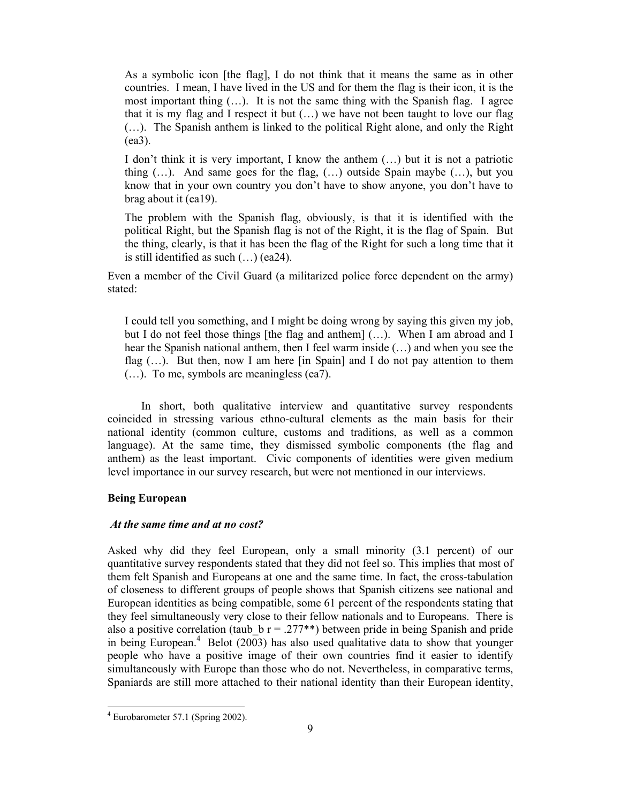As a symbolic icon [the flag], I do not think that it means the same as in other countries. I mean, I have lived in the US and for them the flag is their icon, it is the most important thing (…). It is not the same thing with the Spanish flag. I agree that it is my flag and I respect it but  $(...)$  we have not been taught to love our flag (…). The Spanish anthem is linked to the political Right alone, and only the Right (ea3).

I don't think it is very important, I know the anthem (…) but it is not a patriotic thing (…). And same goes for the flag, (…) outside Spain maybe (…), but you know that in your own country you don't have to show anyone, you don't have to brag about it (ea19).

The problem with the Spanish flag, obviously, is that it is identified with the political Right, but the Spanish flag is not of the Right, it is the flag of Spain. But the thing, clearly, is that it has been the flag of the Right for such a long time that it is still identified as such (…) (ea24).

Even a member of the Civil Guard (a militarized police force dependent on the army) stated:

I could tell you something, and I might be doing wrong by saying this given my job, but I do not feel those things [the flag and anthem] (…). When I am abroad and I hear the Spanish national anthem, then I feel warm inside (…) and when you see the flag  $(...)$ . But then, now I am here [in Spain] and I do not pay attention to them (…). To me, symbols are meaningless (ea7).

 In short, both qualitative interview and quantitative survey respondents coincided in stressing various ethno-cultural elements as the main basis for their national identity (common culture, customs and traditions, as well as a common language). At the same time, they dismissed symbolic components (the flag and anthem) as the least important. Civic components of identities were given medium level importance in our survey research, but were not mentioned in our interviews.

# **Being European**

### *At the same time and at no cost?*

Asked why did they feel European, only a small minority (3.1 percent) of our quantitative survey respondents stated that they did not feel so. This implies that most of them felt Spanish and Europeans at one and the same time. In fact, the cross-tabulation of closeness to different groups of people shows that Spanish citizens see national and European identities as being compatible, some 61 percent of the respondents stating that they feel simultaneously very close to their fellow nationals and to Europeans. There is also a positive correlation (taub  $b = 0.277**$ ) between pride in being Spanish and pride in being European.<sup>4</sup> Belot (2003) has also used qualitative data to show that younger people who have a positive image of their own countries find it easier to identify simultaneously with Europe than those who do not. Nevertheless, in comparative terms, Spaniards are still more attached to their national identity than their European identity,

l

<sup>4</sup> Eurobarometer 57.1 (Spring 2002).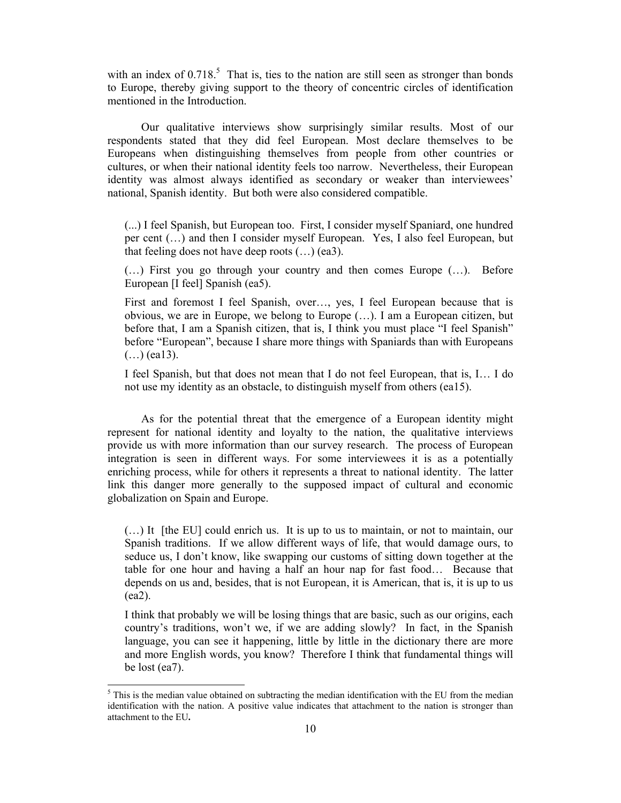with an index of  $0.718$ .<sup>5</sup> That is, ties to the nation are still seen as stronger than bonds to Europe, thereby giving support to the theory of concentric circles of identification mentioned in the Introduction.

 Our qualitative interviews show surprisingly similar results. Most of our respondents stated that they did feel European. Most declare themselves to be Europeans when distinguishing themselves from people from other countries or cultures, or when their national identity feels too narrow. Nevertheless, their European identity was almost always identified as secondary or weaker than interviewees' national, Spanish identity. But both were also considered compatible.

(...) I feel Spanish, but European too. First, I consider myself Spaniard, one hundred per cent (…) and then I consider myself European. Yes, I also feel European, but that feeling does not have deep roots  $(...)$  (ea3).

(…) First you go through your country and then comes Europe (…). Before European [I feel] Spanish (ea5).

First and foremost I feel Spanish, over…, yes, I feel European because that is obvious, we are in Europe, we belong to Europe (…). I am a European citizen, but before that, I am a Spanish citizen, that is, I think you must place "I feel Spanish" before "European", because I share more things with Spaniards than with Europeans  $(...)$  (eal 3).

I feel Spanish, but that does not mean that I do not feel European, that is, I… I do not use my identity as an obstacle, to distinguish myself from others (ea15).

 As for the potential threat that the emergence of a European identity might represent for national identity and loyalty to the nation, the qualitative interviews provide us with more information than our survey research. The process of European integration is seen in different ways. For some interviewees it is as a potentially enriching process, while for others it represents a threat to national identity. The latter link this danger more generally to the supposed impact of cultural and economic globalization on Spain and Europe.

(…) It [the EU] could enrich us. It is up to us to maintain, or not to maintain, our Spanish traditions. If we allow different ways of life, that would damage ours, to seduce us, I don't know, like swapping our customs of sitting down together at the table for one hour and having a half an hour nap for fast food… Because that depends on us and, besides, that is not European, it is American, that is, it is up to us (ea2).

I think that probably we will be losing things that are basic, such as our origins, each country's traditions, won't we, if we are adding slowly? In fact, in the Spanish language, you can see it happening, little by little in the dictionary there are more and more English words, you know? Therefore I think that fundamental things will be lost (ea7).

1

 $<sup>5</sup>$  This is the median value obtained on subtracting the median identification with the EU from the median</sup> identification with the nation. A positive value indicates that attachment to the nation is stronger than attachment to the EU**.**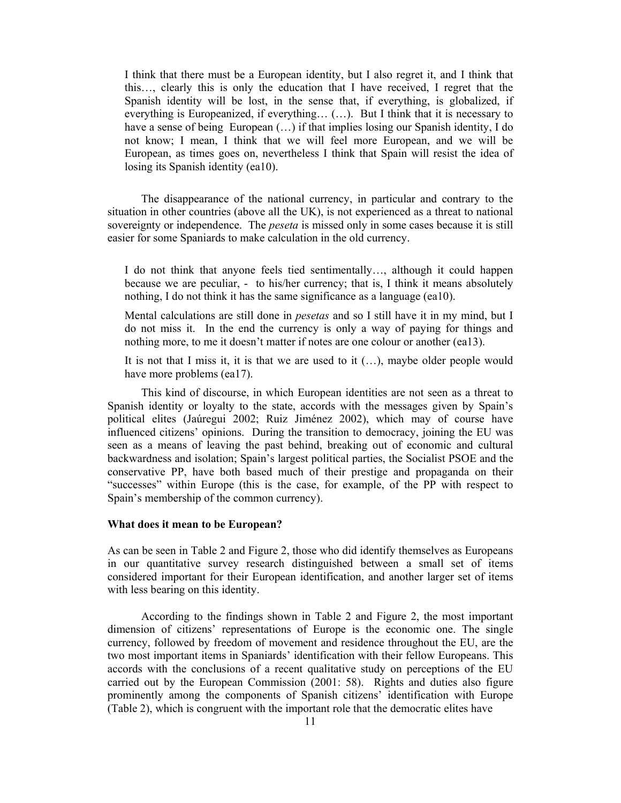I think that there must be a European identity, but I also regret it, and I think that this…, clearly this is only the education that I have received, I regret that the Spanish identity will be lost, in the sense that, if everything, is globalized, if everything is Europeanized, if everything… (…). But I think that it is necessary to have a sense of being European (...) if that implies losing our Spanish identity, I do not know; I mean, I think that we will feel more European, and we will be European, as times goes on, nevertheless I think that Spain will resist the idea of losing its Spanish identity (ea10).

 The disappearance of the national currency, in particular and contrary to the situation in other countries (above all the UK), is not experienced as a threat to national sovereignty or independence. The *peseta* is missed only in some cases because it is still easier for some Spaniards to make calculation in the old currency.

I do not think that anyone feels tied sentimentally…, although it could happen because we are peculiar, - to his/her currency; that is, I think it means absolutely nothing, I do not think it has the same significance as a language (ea10).

Mental calculations are still done in *pesetas* and so I still have it in my mind, but I do not miss it. In the end the currency is only a way of paying for things and nothing more, to me it doesn't matter if notes are one colour or another (ea13).

It is not that I miss it, it is that we are used to it (…), maybe older people would have more problems (ea17).

 This kind of discourse, in which European identities are not seen as a threat to Spanish identity or loyalty to the state, accords with the messages given by Spain's political elites (Jaúregui 2002; Ruiz Jiménez 2002), which may of course have influenced citizens' opinions. During the transition to democracy, joining the EU was seen as a means of leaving the past behind, breaking out of economic and cultural backwardness and isolation; Spain's largest political parties, the Socialist PSOE and the conservative PP, have both based much of their prestige and propaganda on their "successes" within Europe (this is the case, for example, of the PP with respect to Spain's membership of the common currency).

### **What does it mean to be European?**

As can be seen in Table 2 and Figure 2, those who did identify themselves as Europeans in our quantitative survey research distinguished between a small set of items considered important for their European identification, and another larger set of items with less bearing on this identity.

 According to the findings shown in Table 2 and Figure 2, the most important dimension of citizens' representations of Europe is the economic one. The single currency, followed by freedom of movement and residence throughout the EU, are the two most important items in Spaniards' identification with their fellow Europeans. This accords with the conclusions of a recent qualitative study on perceptions of the EU carried out by the European Commission (2001: 58). Rights and duties also figure prominently among the components of Spanish citizens' identification with Europe (Table 2), which is congruent with the important role that the democratic elites have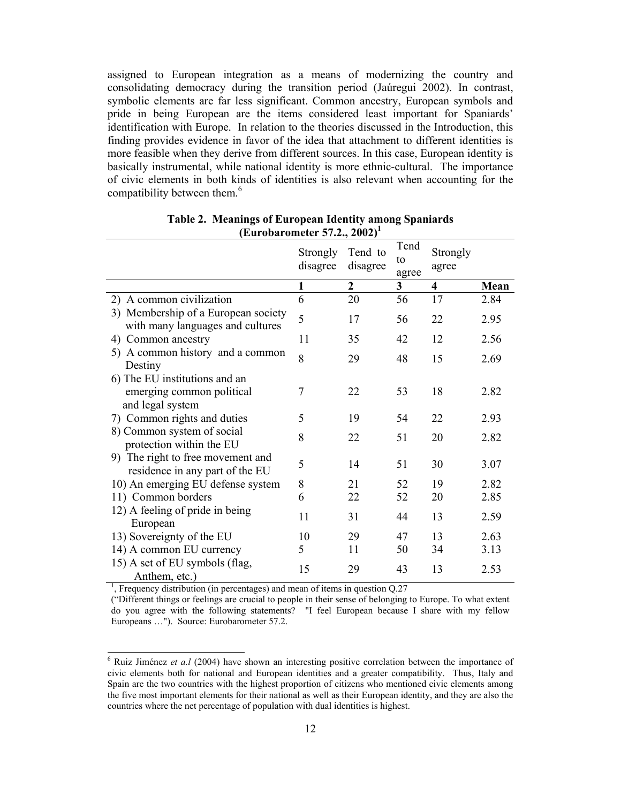assigned to European integration as a means of modernizing the country and consolidating democracy during the transition period (Jaúregui 2002). In contrast, symbolic elements are far less significant. Common ancestry, European symbols and pride in being European are the items considered least important for Spaniards' identification with Europe. In relation to the theories discussed in the Introduction, this finding provides evidence in favor of the idea that attachment to different identities is more feasible when they derive from different sources. In this case, European identity is basically instrumental, while national identity is more ethnic-cultural. The importance of civic elements in both kinds of identities is also relevant when accounting for the compatibility between them.<sup>6</sup>

|                                                                                | Strongly<br>disagree | Tend to<br>disagree | Tend<br>to<br>agree | Strongly<br>agree       |      |
|--------------------------------------------------------------------------------|----------------------|---------------------|---------------------|-------------------------|------|
|                                                                                | 1                    | $\boldsymbol{2}$    | 3                   | $\overline{\mathbf{4}}$ | Mean |
| 2) A common civilization                                                       | 6                    | 20                  | 56                  | 17                      | 2.84 |
| 3) Membership of a European society<br>with many languages and cultures        | 5                    | 17                  | 56                  | 22                      | 2.95 |
| 4) Common ancestry                                                             | 11                   | 35                  | 42                  | 12                      | 2.56 |
| 5) A common history and a common<br>Destiny                                    | 8                    | 29                  | 48                  | 15                      | 2.69 |
| 6) The EU institutions and an<br>emerging common political<br>and legal system | 7                    | 22                  | 53                  | 18                      | 2.82 |
| 7) Common rights and duties                                                    | 5                    | 19                  | 54                  | 22                      | 2.93 |
| 8) Common system of social<br>protection within the EU                         | 8                    | 22                  | 51                  | 20                      | 2.82 |
| 9) The right to free movement and<br>residence in any part of the EU           | 5                    | 14                  | 51                  | 30                      | 3.07 |
| 10) An emerging EU defense system                                              | 8                    | 21                  | 52                  | 19                      | 2.82 |
| 11) Common borders                                                             | 6                    | 22                  | 52                  | 20                      | 2.85 |
| 12) A feeling of pride in being<br>European                                    | 11                   | 31                  | 44                  | 13                      | 2.59 |
| 13) Sovereignty of the EU                                                      | 10                   | 29                  | 47                  | 13                      | 2.63 |
| 14) A common EU currency                                                       | 5                    | 11                  | 50                  | 34                      | 3.13 |
| 15) A set of EU symbols (flag,<br>Anthem, etc.)                                | 15                   | 29                  | 43                  | 13                      | 2.53 |

| Table 2. Meanings of European Identity among Spaniards |
|--------------------------------------------------------|
| (Eurobarometer 57.2., 2002) <sup>1</sup>               |

<sup>1</sup>, Frequency distribution (in percentages) and mean of items in question  $Q.27$ 

 $\overline{a}$ 

("Different things or feelings are crucial to people in their sense of belonging to Europe. To what extent do you agree with the following statements? "I feel European because I share with my fellow Europeans …"). Source: Eurobarometer 57.2.

<sup>&</sup>lt;sup>6</sup> Ruiz Jiménez *et a.l* (2004) have shown an interesting positive correlation between the importance of civic elements both for national and European identities and a greater compatibility. Thus, Italy and Spain are the two countries with the highest proportion of citizens who mentioned civic elements among the five most important elements for their national as well as their European identity, and they are also the countries where the net percentage of population with dual identities is highest.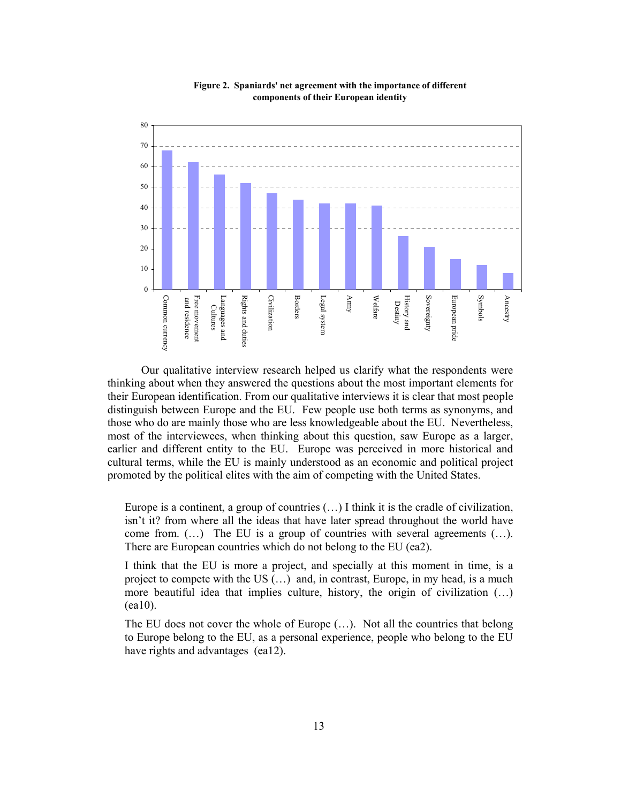

**Figure 2. Spaniards' net agreement with the importance of different components of their European identity**

 Our qualitative interview research helped us clarify what the respondents were thinking about when they answered the questions about the most important elements for their European identification. From our qualitative interviews it is clear that most people distinguish between Europe and the EU. Few people use both terms as synonyms, and those who do are mainly those who are less knowledgeable about the EU. Nevertheless, most of the interviewees, when thinking about this question, saw Europe as a larger, earlier and different entity to the EU. Europe was perceived in more historical and cultural terms, while the EU is mainly understood as an economic and political project promoted by the political elites with the aim of competing with the United States.

Europe is a continent, a group of countries  $(...)$  I think it is the cradle of civilization, isn't it? from where all the ideas that have later spread throughout the world have come from.  $(...)$  The EU is a group of countries with several agreements  $(...)$ . There are European countries which do not belong to the EU (ea2).

I think that the EU is more a project, and specially at this moment in time, is a project to compete with the US (…) and, in contrast, Europe, in my head, is a much more beautiful idea that implies culture, history, the origin of civilization (…) (ea10).

The EU does not cover the whole of Europe  $(\ldots)$ . Not all the countries that belong to Europe belong to the EU, as a personal experience, people who belong to the EU have rights and advantages (ea12).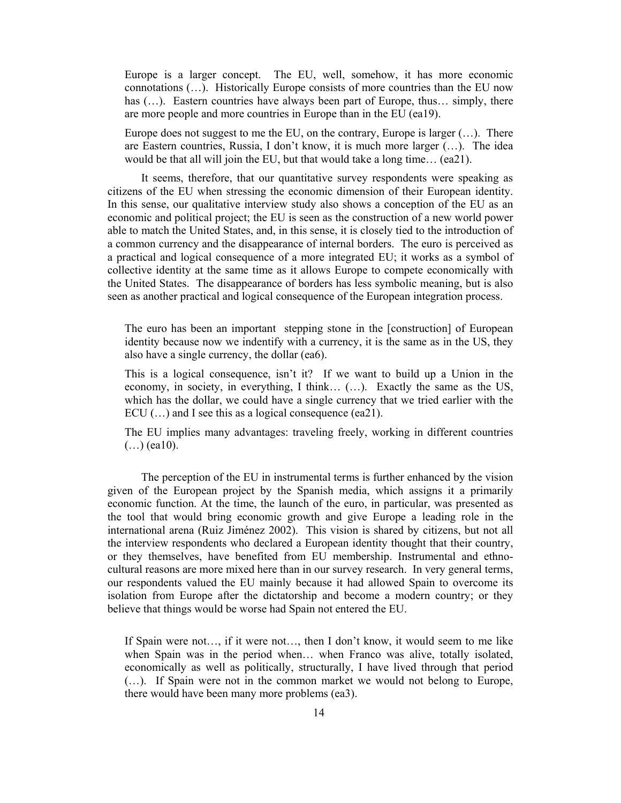Europe is a larger concept. The EU, well, somehow, it has more economic connotations (…). Historically Europe consists of more countries than the EU now has (...). Eastern countries have always been part of Europe, thus... simply, there are more people and more countries in Europe than in the EU (ea19).

Europe does not suggest to me the EU, on the contrary, Europe is larger (…). There are Eastern countries, Russia, I don't know, it is much more larger (…). The idea would be that all will join the EU, but that would take a long time… (ea21).

 It seems, therefore, that our quantitative survey respondents were speaking as citizens of the EU when stressing the economic dimension of their European identity. In this sense, our qualitative interview study also shows a conception of the EU as an economic and political project; the EU is seen as the construction of a new world power able to match the United States, and, in this sense, it is closely tied to the introduction of a common currency and the disappearance of internal borders. The euro is perceived as a practical and logical consequence of a more integrated EU; it works as a symbol of collective identity at the same time as it allows Europe to compete economically with the United States. The disappearance of borders has less symbolic meaning, but is also seen as another practical and logical consequence of the European integration process.

The euro has been an important stepping stone in the [construction] of European identity because now we indentify with a currency, it is the same as in the US, they also have a single currency, the dollar (ea6).

This is a logical consequence, isn't it? If we want to build up a Union in the economy, in society, in everything, I think… (…). Exactly the same as the US, which has the dollar, we could have a single currency that we tried earlier with the ECU  $(...)$  and I see this as a logical consequence (ea21).

The EU implies many advantages: traveling freely, working in different countries  $(...)$  (ea10).

 The perception of the EU in instrumental terms is further enhanced by the vision given of the European project by the Spanish media, which assigns it a primarily economic function. At the time, the launch of the euro, in particular, was presented as the tool that would bring economic growth and give Europe a leading role in the international arena (Ruiz Jiménez 2002). This vision is shared by citizens, but not all the interview respondents who declared a European identity thought that their country, or they themselves, have benefited from EU membership. Instrumental and ethnocultural reasons are more mixed here than in our survey research. In very general terms, our respondents valued the EU mainly because it had allowed Spain to overcome its isolation from Europe after the dictatorship and become a modern country; or they believe that things would be worse had Spain not entered the EU.

If Spain were not…, if it were not…, then I don't know, it would seem to me like when Spain was in the period when... when Franco was alive, totally isolated, economically as well as politically, structurally, I have lived through that period (…). If Spain were not in the common market we would not belong to Europe, there would have been many more problems (ea3).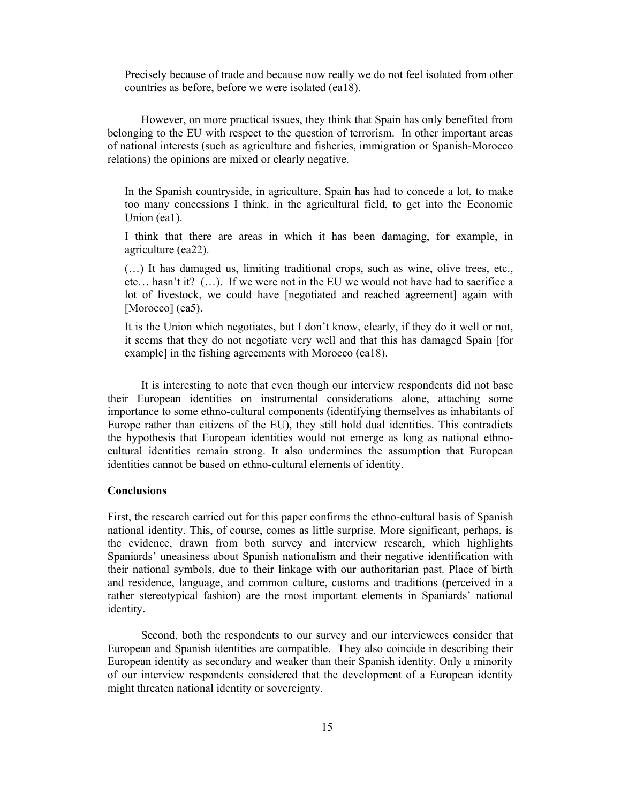Precisely because of trade and because now really we do not feel isolated from other countries as before, before we were isolated (ea18).

 However, on more practical issues, they think that Spain has only benefited from belonging to the EU with respect to the question of terrorism. In other important areas of national interests (such as agriculture and fisheries, immigration or Spanish-Morocco relations) the opinions are mixed or clearly negative.

In the Spanish countryside, in agriculture, Spain has had to concede a lot, to make too many concessions I think, in the agricultural field, to get into the Economic Union (ea1).

I think that there are areas in which it has been damaging, for example, in agriculture (ea22).

(…) It has damaged us, limiting traditional crops, such as wine, olive trees, etc., etc… hasn't it? (…). If we were not in the EU we would not have had to sacrifice a lot of livestock, we could have [negotiated and reached agreement] again with [Morocco] (ea5).

It is the Union which negotiates, but I don't know, clearly, if they do it well or not, it seems that they do not negotiate very well and that this has damaged Spain [for example] in the fishing agreements with Morocco (ea18).

 It is interesting to note that even though our interview respondents did not base their European identities on instrumental considerations alone, attaching some importance to some ethno-cultural components (identifying themselves as inhabitants of Europe rather than citizens of the EU), they still hold dual identities. This contradicts the hypothesis that European identities would not emerge as long as national ethnocultural identities remain strong. It also undermines the assumption that European identities cannot be based on ethno-cultural elements of identity.

## **Conclusions**

First, the research carried out for this paper confirms the ethno-cultural basis of Spanish national identity. This, of course, comes as little surprise. More significant, perhaps, is the evidence, drawn from both survey and interview research, which highlights Spaniards' uneasiness about Spanish nationalism and their negative identification with their national symbols, due to their linkage with our authoritarian past. Place of birth and residence, language, and common culture, customs and traditions (perceived in a rather stereotypical fashion) are the most important elements in Spaniards' national identity.

 Second, both the respondents to our survey and our interviewees consider that European and Spanish identities are compatible. They also coincide in describing their European identity as secondary and weaker than their Spanish identity. Only a minority of our interview respondents considered that the development of a European identity might threaten national identity or sovereignty.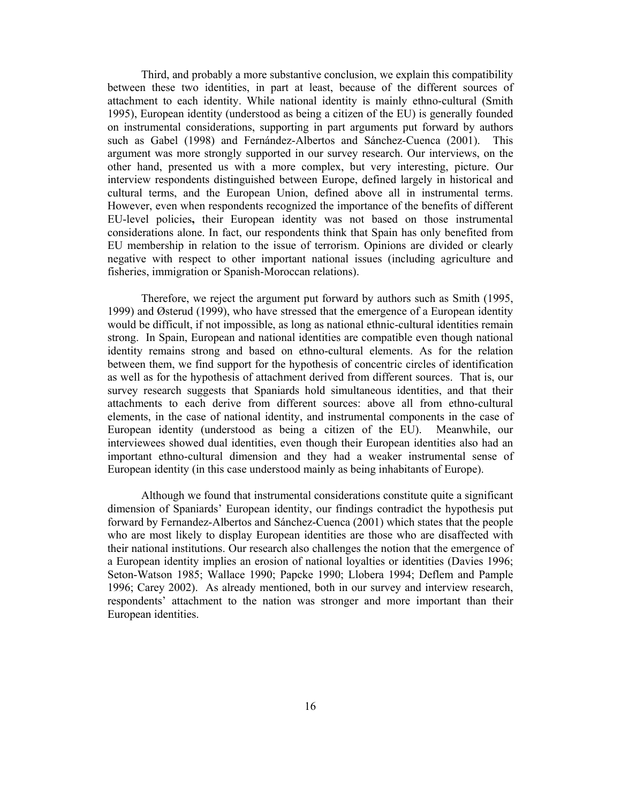Third, and probably a more substantive conclusion, we explain this compatibility between these two identities, in part at least, because of the different sources of attachment to each identity. While national identity is mainly ethno-cultural (Smith 1995), European identity (understood as being a citizen of the EU) is generally founded on instrumental considerations, supporting in part arguments put forward by authors such as Gabel (1998) and Fernández-Albertos and Sánchez-Cuenca (2001). This argument was more strongly supported in our survey research. Our interviews, on the other hand, presented us with a more complex, but very interesting, picture. Our interview respondents distinguished between Europe, defined largely in historical and cultural terms, and the European Union, defined above all in instrumental terms. However, even when respondents recognized the importance of the benefits of different EU-level policies**,** their European identity was not based on those instrumental considerations alone. In fact, our respondents think that Spain has only benefited from EU membership in relation to the issue of terrorism. Opinions are divided or clearly negative with respect to other important national issues (including agriculture and fisheries, immigration or Spanish-Moroccan relations).

 Therefore, we reject the argument put forward by authors such as Smith (1995, 1999) and Østerud (1999), who have stressed that the emergence of a European identity would be difficult, if not impossible, as long as national ethnic-cultural identities remain strong. In Spain, European and national identities are compatible even though national identity remains strong and based on ethno-cultural elements. As for the relation between them, we find support for the hypothesis of concentric circles of identification as well as for the hypothesis of attachment derived from different sources. That is, our survey research suggests that Spaniards hold simultaneous identities, and that their attachments to each derive from different sources: above all from ethno-cultural elements, in the case of national identity, and instrumental components in the case of European identity (understood as being a citizen of the EU). Meanwhile, our interviewees showed dual identities, even though their European identities also had an important ethno-cultural dimension and they had a weaker instrumental sense of European identity (in this case understood mainly as being inhabitants of Europe).

Although we found that instrumental considerations constitute quite a significant dimension of Spaniards' European identity, our findings contradict the hypothesis put forward by Fernandez-Albertos and Sánchez-Cuenca (2001) which states that the people who are most likely to display European identities are those who are disaffected with their national institutions. Our research also challenges the notion that the emergence of a European identity implies an erosion of national loyalties or identities (Davies 1996; Seton-Watson 1985; Wallace 1990; Papcke 1990; Llobera 1994; Deflem and Pample 1996; Carey 2002). As already mentioned, both in our survey and interview research, respondents' attachment to the nation was stronger and more important than their European identities.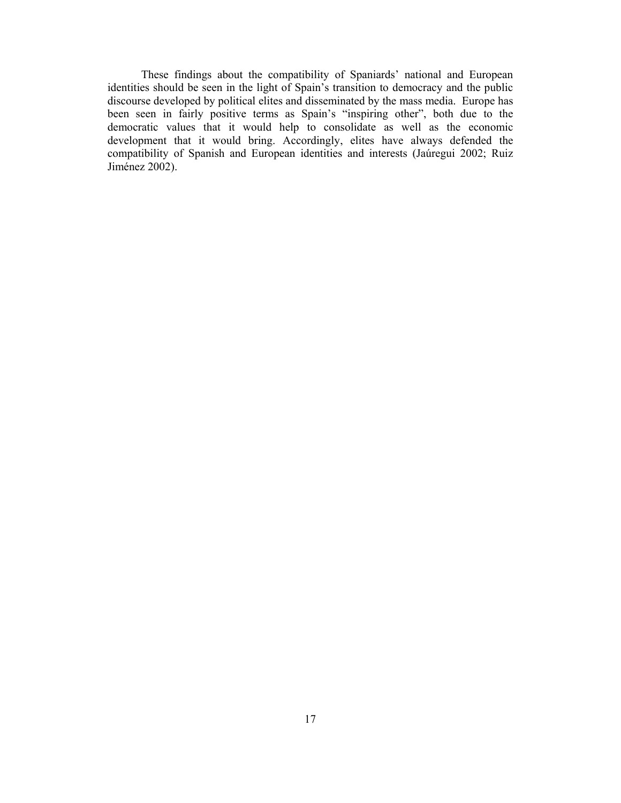These findings about the compatibility of Spaniards' national and European identities should be seen in the light of Spain's transition to democracy and the public discourse developed by political elites and disseminated by the mass media. Europe has been seen in fairly positive terms as Spain's "inspiring other", both due to the democratic values that it would help to consolidate as well as the economic development that it would bring. Accordingly, elites have always defended the compatibility of Spanish and European identities and interests (Jaúregui 2002; Ruiz Jiménez 2002).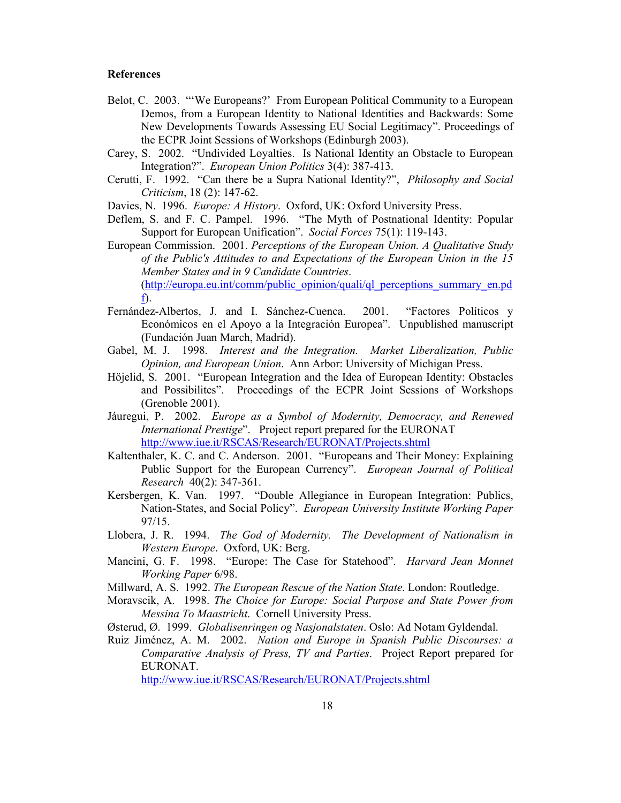### **References**

- Belot, C. 2003. "'We Europeans?' From European Political Community to a European Demos, from a European Identity to National Identities and Backwards: Some New Developments Towards Assessing EU Social Legitimacy". Proceedings of the ECPR Joint Sessions of Workshops (Edinburgh 2003).
- Carey, S. 2002. "Undivided Loyalties. Is National Identity an Obstacle to European Integration?". *European Union Politics* 3(4): 387-413.
- Cerutti, F. 1992. "Can there be a Supra National Identity?", *Philosophy and Social Criticism*, 18 (2): 147-62.

Davies, N. 1996. *Europe: A History*. Oxford, UK: Oxford University Press.

Deflem, S. and F. C. Pampel. 1996. "The Myth of Postnational Identity: Popular Support for European Unification". *Social Forces* 75(1): 119-143.

European Commission. 2001. *Perceptions of the European Union. A Qualitative Study of the Public's Attitudes to and Expectations of the European Union in the 15 Member States and in 9 Candidate Countries*. (http://europa.eu.int/comm/public\_opinion/quali/ql\_perceptions\_summary\_en.pd f).

- Fernández-Albertos, J. and I. Sánchez-Cuenca. 2001. "Factores Políticos y Económicos en el Apoyo a la Integración Europea". Unpublished manuscript (Fundación Juan March, Madrid).
- Gabel, M. J. 1998. *Interest and the Integration. Market Liberalization, Public Opinion, and European Union*. Ann Arbor: University of Michigan Press.
- Höjelid, S. 2001. "European Integration and the Idea of European Identity: Obstacles and Possibilites". Proceedings of the ECPR Joint Sessions of Workshops (Grenoble 2001).
- Jáuregui, P. 2002. *Europe as a Symbol of Modernity, Democracy, and Renewed International Prestige*". Project report prepared for the EURONAT http://www.iue.it/RSCAS/Research/EURONAT/Projects.shtml
- Kaltenthaler, K. C. and C. Anderson. 2001. "Europeans and Their Money: Explaining Public Support for the European Currency". *European Journal of Political Research* 40(2): 347-361.
- Kersbergen, K. Van. 1997. "Double Allegiance in European Integration: Publics, Nation-States, and Social Policy". *European University Institute Working Paper* 97/15.
- Llobera, J. R. 1994. *The God of Modernity. The Development of Nationalism in Western Europe*. Oxford, UK: Berg.
- Mancini, G. F. 1998. "Europe: The Case for Statehood". *Harvard Jean Monnet Working Paper* 6/98.
- Millward, A. S. 1992. *The European Rescue of the Nation State*. London: Routledge.
- Moravscik, A. 1998. *The Choice for Europe: Social Purpose and State Power from Messina To Maastricht*. Cornell University Press.
- Østerud, Ø. 1999. *Globalisenringen og Nasjonalstaten*. Oslo: Ad Notam Gyldendal.
- Ruiz Jiménez, A. M. 2002. *Nation and Europe in Spanish Public Discourses: a Comparative Analysis of Press, TV and Parties*. Project Report prepared for EURONAT.

http://www.iue.it/RSCAS/Research/EURONAT/Projects.shtml